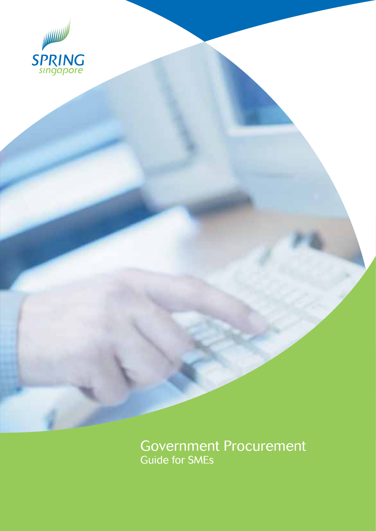

Government Procurement<br>Guide for SMEs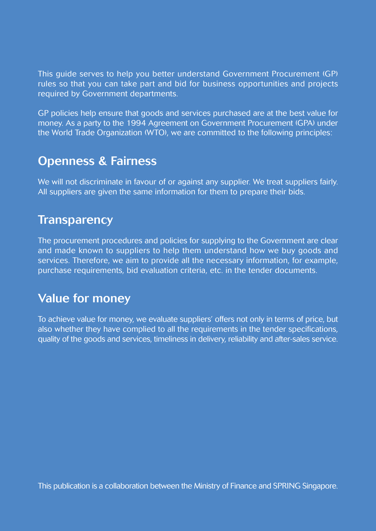This guide serves to help you better understand Government Procurement (GP) rules so that you can take part and bid for business opportunities and projects required by Government departments.

GP policies help ensure that goods and services purchased are at the best value for money. As a party to the 1994 Agreement on Government Procurement (GPA) under the World Trade Organization (WTO), we are committed to the following principles:

## **Openness & Fairness**

We will not discriminate in favour of or against any supplier. We treat suppliers fairly. All suppliers are given the same information for them to prepare their bids.

## **Transparency**

The procurement procedures and policies for supplying to the Government are clear and made known to suppliers to help them understand how we buy goods and services. Therefore, we aim to provide all the necessary information, for example, purchase requirements, bid evaluation criteria, etc. in the tender documents.

## **Value for money**

To achieve value for money, we evaluate suppliers' offers not only in terms of price, but also whether they have complied to all the requirements in the tender specifications, quality of the goods and services, timeliness in delivery, reliability and after-sales service.

This publication is a collaboration between the Ministry of Finance and SPRING Singapore.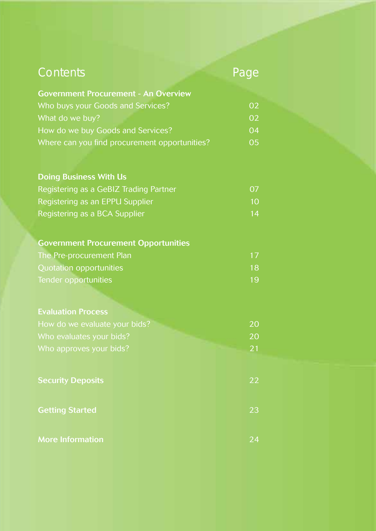## *Contents Page*

| <b>Government Procurement - An Overview</b>   |                |
|-----------------------------------------------|----------------|
| Who buys your Goods and Services?             | 0 <sup>2</sup> |
| What do we buy?                               | 0 <sup>2</sup> |
| How do we buy Goods and Services?             | 04             |
| Where can you find procurement opportunities? | 05             |

### **Doing Business With Us**

| Registering as a GeBIZ Trading Partner | 07. |
|----------------------------------------|-----|
| Registering as an EPPU Supplier        | 10. |
| Registering as a BCA Supplier          | 14  |

#### **Government Procurement Opportunities**

| The Pre-procurement Plan |     |
|--------------------------|-----|
| Quotation opportunities  | 18. |
| Tender opportunities     | 19  |

| How do we evaluate your bids? | 20 |
|-------------------------------|----|
| Who evaluates your bids?      | 20 |
| Who approves your bids?       | 21 |

**More Information** 24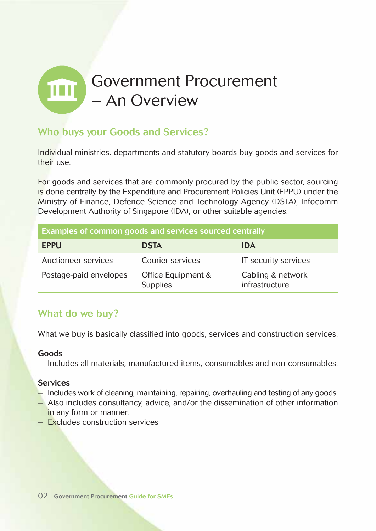## Government Procurement  $\mathbf{m}$ – An Overview

## **Who buys your Goods and Services?**

Individual ministries, departments and statutory boards buy goods and services for their use.

For goods and services that are commonly procured by the public sector, sourcing is done centrally by the Expenditure and Procurement Policies Unit (EPPU) under the Ministry of Finance, Defence Science and Technology Agency (DSTA), Infocomm Development Authority of Singapore (IDA), or other suitable agencies.

| Examples of common goods and services sourced centrally |                                       |                                     |  |
|---------------------------------------------------------|---------------------------------------|-------------------------------------|--|
| <b>EPPU</b>                                             | <b>DSTA</b>                           | <b>IDA</b>                          |  |
| Auctioneer services                                     | Courier services                      | IT security services                |  |
| Postage-paid envelopes                                  | Office Equipment &<br><b>Supplies</b> | Cabling & network<br>infrastructure |  |

## **What do we buy?**

What we buy is basically classified into goods, services and construction services.

#### **Goods**

– Includes all materials, manufactured items, consumables and non-consumables.

#### **Services**

- Includes work of cleaning, maintaining, repairing, overhauling and testing of any goods.
- Also includes consultancy, advice, and/or the dissemination of other information in any form or manner.
- Excludes construction services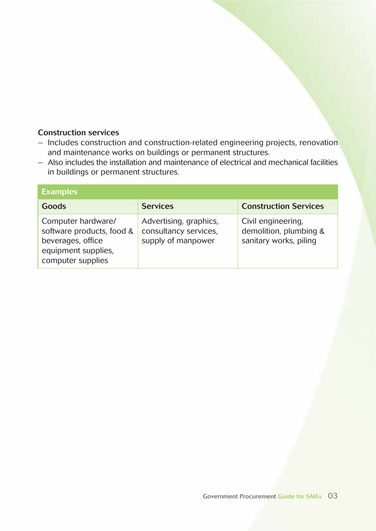#### **Construction services**

- Includes construction and construction-related engineering projects, renovation and maintenance works on buildings or permanent structures.
- Also includes the installation and maintenance of electrical and mechanical facilities in buildings or permanent structures.

| <b>Examples</b>                                                                                                  |                                                                       |                                                                        |  |
|------------------------------------------------------------------------------------------------------------------|-----------------------------------------------------------------------|------------------------------------------------------------------------|--|
| Goods                                                                                                            | <b>Services</b>                                                       | <b>Construction Services</b>                                           |  |
| Computer hardware/<br>software products, food &<br>beverages, office<br>equipment supplies,<br>computer supplies | Advertising, graphics,<br>consultancy services,<br>supply of manpower | Civil engineering,<br>demolition, plumbing &<br>sanitary works, piling |  |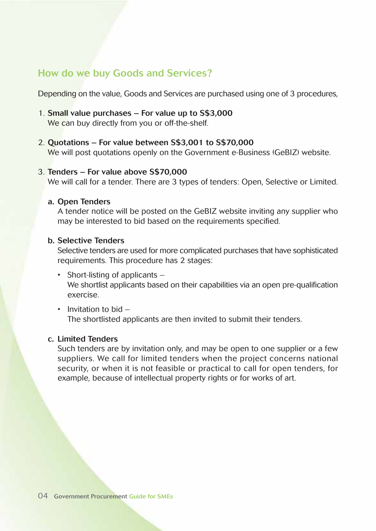## **How do we buy Goods and Services?**

Depending on the value, Goods and Services are purchased using one of 3 procedures,

- 1. **Small value purchases For value up to S\$3,000** We can buy directly from you or off-the-shelf.
- 2. **Quotations For value between S\$3,001 to S\$70,000** We will post quotations openly on the Government e-Business (GeBIZ) website.

#### 3. **Tenders – For value above S\$70,000**

We will call for a tender. There are 3 types of tenders: Open, Selective or Limited.

#### **a. Open Tenders**

A tender notice will be posted on the GeBIZ website inviting any supplier who may be interested to bid based on the requirements specified.

#### **b. Selective Tenders**

Selective tenders are used for more complicated purchases that have sophisticated requirements. This procedure has 2 stages:

- Short-listing of applicants We shortlist applicants based on their capabilities via an open pre-qualification exercise.
- Invitation to bid The shortlisted applicants are then invited to submit their tenders.

#### **c. Limited Tenders**

Such tenders are by invitation only, and may be open to one supplier or a few suppliers. We call for limited tenders when the project concerns national security, or when it is not feasible or practical to call for open tenders, for example, because of intellectual property rights or for works of art.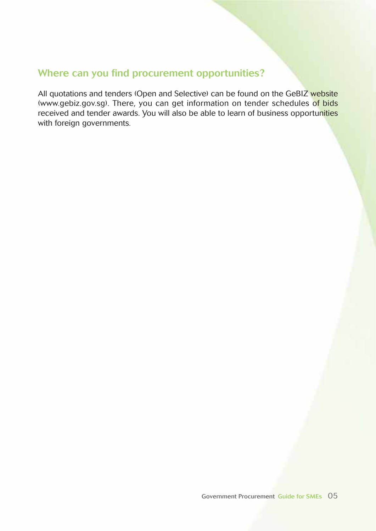## **Where can you find procurement opportunities?**

All quotations and tenders (Open and Selective) can be found on the GeBIZ website (www.gebiz.gov.sg). There, you can get information on tender schedules of bids received and tender awards. You will also be able to learn of business opportunities with foreign governments.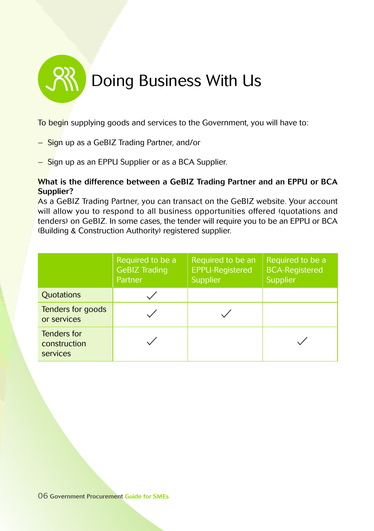# Doing Business With Us

To begin supplying goods and services to the Government, you will have to:

- Sign up as a GeBIZ Trading Partner, and/or
- Sign up as an EPPU Supplier or as a BCA Supplier.

#### **What is the difference between a GeBIZ Trading Partner and an EPPU or BCA Supplier?**

As a GeBIZ Trading Partner, you can transact on the GeBIZ website. Your account will allow you to respond to all business opportunities offered (quotations and tenders) on GeBIZ. In some cases, the tender will require you to be an EPPU or BCA (Building & Construction Authority) registered supplier.

|                                         | Required to be a<br><b>GeBIZ Trading</b><br>Partner | Required to be an<br><b>EPPU-Registered</b><br>Supplier | Required to be a<br><b>BCA-Registered</b><br>Supplier |
|-----------------------------------------|-----------------------------------------------------|---------------------------------------------------------|-------------------------------------------------------|
| <b>Ouotations</b>                       |                                                     |                                                         |                                                       |
| Tenders for goods<br>or services        |                                                     |                                                         |                                                       |
| Tenders for<br>construction<br>services |                                                     |                                                         |                                                       |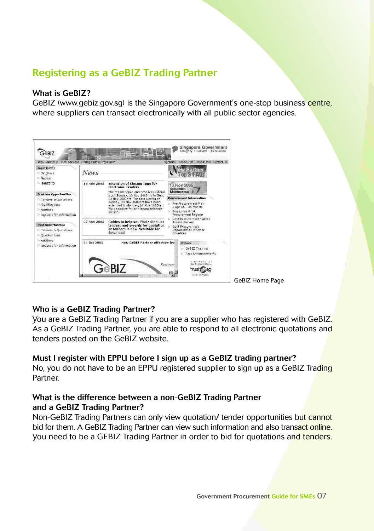## **Registering as a GeBIZ Trading Partner**

#### **What is GeBIZ?**

GeBIZ (www.gebiz.gov.sg) is the Singapore Government's one-stop business centre, where suppliers can transact electronically with all public sector agencies.



#### **Who is a GeBIZ Trading Partner?**

You are a GeBIZ Trading Partner if you are a supplier who has registered with GeBIZ. As a GeBIZ Trading Partner, you are able to respond to all electronic quotations and tenders posted on the GeBIZ website.

#### **Must I register with EPPU before I sign up as a GeBIZ trading partner?**

No, you do not have to be an EPPU registered supplier to sign up as a GeBIZ Trading **Partner** 

#### **What is the difference between a non-GeBIZ Trading Partner and a GeBIZ Trading Partner?**

Non-GeBIZ Trading Partners can only view quotation/ tender opportunities but cannot bid for them. A GeBIZ Trading Partner can view such information and also transact online. You need to be a GEBIZ Trading Partner in order to bid for quotations and tenders.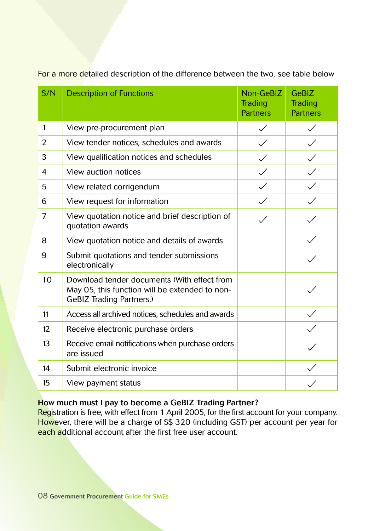| S/N            | <b>Description of Functions</b>                                                                                                  | Non-GeBIZ<br><b>Trading</b><br><b>Partners</b> | GeBIZ<br>Trading<br><b>Partners</b> |
|----------------|----------------------------------------------------------------------------------------------------------------------------------|------------------------------------------------|-------------------------------------|
| 1              | View pre-procurement plan                                                                                                        | $\checkmark$                                   |                                     |
| 2              | View tender notices, schedules and awards                                                                                        | $\checkmark$                                   | $\checkmark$                        |
| 3              | View qualification notices and schedules                                                                                         | $\checkmark$                                   | $\checkmark$                        |
| 4              | View auction notices                                                                                                             | $\checkmark$                                   |                                     |
| 5              | View related corrigendum                                                                                                         | $\checkmark$                                   |                                     |
| 6              | View request for information                                                                                                     | $\checkmark$                                   |                                     |
| $\overline{7}$ | View quotation notice and brief description of<br>quotation awards                                                               |                                                |                                     |
| 8              | View quotation notice and details of awards                                                                                      |                                                |                                     |
| 9              | Submit quotations and tender submissions<br>electronically                                                                       |                                                |                                     |
| 10             | Download tender documents (With effect from<br>May 05, this function will be extended to non-<br><b>GeBIZ Trading Partners.)</b> |                                                |                                     |
| 11             | Access all archived notices, schedules and awards                                                                                |                                                | $\checkmark$                        |
| 12             | Receive electronic purchase orders                                                                                               |                                                |                                     |
| 13             | Receive email notifications when purchase orders<br>are issued                                                                   |                                                |                                     |
| 14             | Submit electronic invoice                                                                                                        |                                                |                                     |
| 15             | View payment status                                                                                                              |                                                |                                     |

For a more detailed description of the difference between the two, see table below

#### **How much must I pay to become a GeBIZ Trading Partner?**

Registration is free, with effect from 1 April 2005, for the first account for your company. However, there will be a charge of S\$ 320 (including GST) per account per year for each additional account after the first free user account.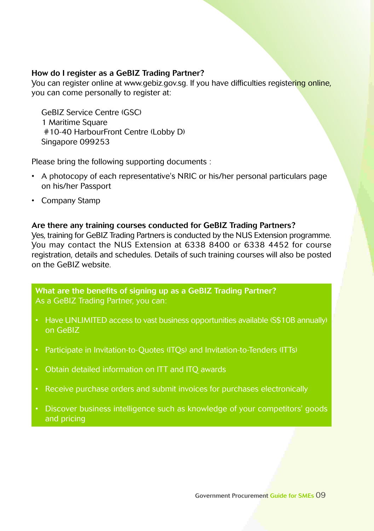#### **How do I register as a GeBIZ Trading Partner?**

You can register online at www.gebiz.gov.sg. If you have difficulties registering online, you can come personally to register at:

GeBIZ Service Centre (GSC) 1 Maritime Square #10-40 HarbourFront Centre (Lobby D) Singapore 099253

Please bring the following supporting documents :

- A photocopy of each representative's NRIC or his/her personal particulars page on his/her Passport
- Company Stamp

#### **Are there any training courses conducted for GeBIZ Trading Partners?**

Yes, training for GeBIZ Trading Partners is conducted by the NUS Extension programme. You may contact the NUS Extension at 6338 8400 or 6338 4452 for course registration, details and schedules. Details of such training courses will also be posted on the GeBIZ website.

**What are the benefits of signing up as a GeBIZ Trading Partner?** As a GeBIZ Trading Partner, you can:

- Have UNLIMITED access to vast business opportunities available (S\$10B annually) on GeBIZ
- Participate in Invitation-to-Quotes (ITQs) and Invitation-to-Tenders (ITTs)
- Obtain detailed information on ITT and ITQ awards
- Receive purchase orders and submit invoices for purchases electronically
- Discover business intelligence such as knowledge of your competitors' goods and pricing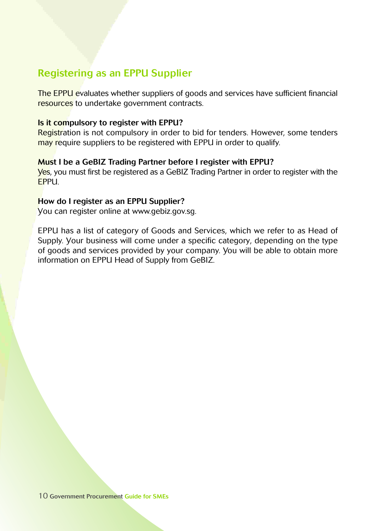## **Registering as an EPPU Supplier**

The EPPU evaluates whether suppliers of goods and services have sufficient financial resources to undertake government contracts.

#### **Is it compulsory to register with EPPU?**

Registration is not compulsory in order to bid for tenders. However, some tenders may require suppliers to be registered with EPPU in order to qualify.

#### **Must I be a GeBIZ Trading Partner before I register with EPPU?**

Yes, you must first be registered as a GeBIZ Trading Partner in order to register with the EPPU.

#### **How do I register as an EPPU Supplier?**

You can register online at www.gebiz.gov.sg.

EPPU has a list of category of Goods and Services, which we refer to as Head of Supply. Your business will come under a specific category, depending on the type of goods and services provided by your company. You will be able to obtain more information on EPPU Head of Supply from GeBIZ.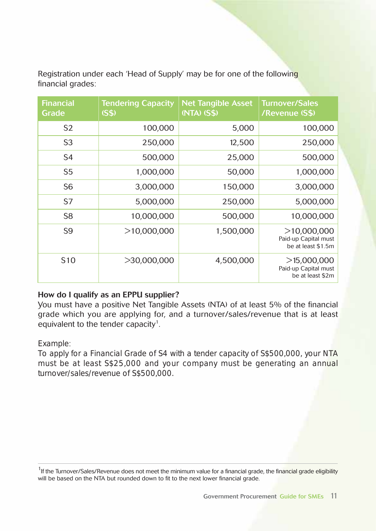Registration under each 'Head of Supply' may be for one of the following financial grades:

| <b>Financial</b><br>Grade | <b>Tendering Capacity</b><br>(SS) | <b>Net Tangible Asset</b><br>(NTA) (S\$) | <b>Turnover/Sales</b><br>/Revenue (S\$)                   |
|---------------------------|-----------------------------------|------------------------------------------|-----------------------------------------------------------|
| S <sub>2</sub>            | 100,000                           | 5,000                                    | 100,000                                                   |
| S <sub>3</sub>            | 250,000                           | 12,500                                   | 250,000                                                   |
| S <sub>4</sub>            | 500,000                           | 25,000                                   | 500,000                                                   |
| S <sub>5</sub>            | 1,000,000                         | 50,000                                   | 1,000,000                                                 |
| S <sub>6</sub>            | 3,000,000                         | 150,000                                  | 3,000,000                                                 |
| S7                        | 5,000,000                         | 250,000                                  | 5,000,000                                                 |
| S8                        | 10,000,000                        | 500,000                                  | 10,000,000                                                |
| S <sub>9</sub>            | >10,000,000                       | 1,500,000                                | >10,000,000<br>Paid-up Capital must<br>be at least \$1.5m |
| S <sub>10</sub>           | >30,000,000                       | 4,500,000                                | >15,000,000<br>Paid-up Capital must<br>be at least \$2m   |

#### **How do I qualify as an EPPU supplier?**

You must have a positive Net Tangible Assets (NTA) of at least 5% of the financial grade which you are applying for, and a turnover/sales/revenue that is at least equivalent to the tender capacity $^1$ .

#### *Example*:

*To apply for a Financial Grade of S4 with a tender capacity of S\$500,000, your NTA must be at least S\$25,000 and your company must be generating an annual turnover/sales/revenue of S\$500,000.*

<sup>&</sup>lt;sup>1</sup>If the Turnover/Sales/Revenue does not meet the minimum value for a financial grade, the financial grade eligibility will be based on the NTA but rounded down to fit to the next lower financial grade.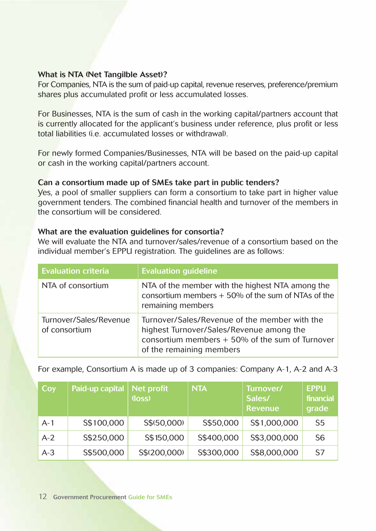#### **What is NTA (Net Tangilble Asset)?**

For Companies, NTA is the sum of paid-up capital, revenue reserves, preference/premium shares plus accumulated profit or less accumulated losses.

For Businesses, NTA is the sum of cash in the working capital/partners account that is currently allocated for the applicant's business under reference, plus profit or less total liabilities (i.e. accumulated losses or withdrawal).

For newly formed Companies/Businesses, NTA will be based on the paid-up capital or cash in the working capital/partners account.

#### **Can a consortium made up of SMEs take part in public tenders?**

Yes, a pool of smaller suppliers can form a consortium to take part in higher value government tenders. The combined financial health and turnover of the members in the consortium will be considered.

#### **What are the evaluation guidelines for consortia?**

We will evaluate the NTA and turnover/sales/revenue of a consortium based on the individual member's EPPU registration. The guidelines are as follows:

| <b>Evaluation criteria</b>              | <b>Evaluation guideline</b>                                                                                                                                                |
|-----------------------------------------|----------------------------------------------------------------------------------------------------------------------------------------------------------------------------|
| NTA of consortium                       | NTA of the member with the highest NTA among the<br>consortium members $+50\%$ of the sum of NTAs of the<br>remaining members                                              |
| Turnover/Sales/Revenue<br>of consortium | Turnover/Sales/Revenue of the member with the<br>highest Turnover/Sales/Revenue among the<br>consortium members $+50\%$ of the sum of Turnover<br>of the remaining members |

For example, Consortium A is made up of 3 companies: Company A-1, A-2 and A-3

| Coy   | Paid-up capital | Net profit<br>(loss) | <b>NTA</b> | Turnover/<br>Sales/<br>Revenue | <b>EPPU</b><br>financial.<br>grade |
|-------|-----------------|----------------------|------------|--------------------------------|------------------------------------|
| $A-1$ | S\$100,000      | S\$(50,000)          | S\$50,000  | S\$1,000,000                   | S <sub>5</sub>                     |
| $A-2$ | S\$250,000      | S\$150,000           | S\$400,000 | S\$3,000,000                   | S <sub>6</sub>                     |
| $A-3$ | S\$500,000      | S\$(200,000)         | S\$300,000 | S\$8,000,000                   | S7                                 |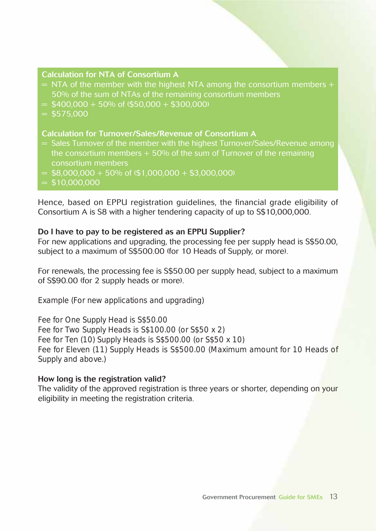#### **Calculation for NTA of Consortium A**

- $=$  NTA of the member with the highest NTA among the consortium members  $+$ 50% of the sum of NTAs of the remaining consortium members
- $=$  \$400,000 + 50% of (\$50,000 + \$300,000)
- $= $575,000$

#### **Calculation for Turnover/Sales/Revenue of Consortium A**

- = Sales Turnover of the member with the highest Turnover/Sales/Revenue among the consortium members  $+50%$  of the sum of Turnover of the remaining consortium members
- $=$  \$8,000,000 + 50% of (\$1,000,000 + \$3,000,000)
- $=$  \$10,000,000

Hence, based on EPPU registration guidelines, the financial grade eligibility of Consortium A is S8 with a higher tendering capacity of up to S\$10,000,000.

#### **Do I have to pay to be registered as an EPPU Supplier?**

For new applications and upgrading, the processing fee per supply head is S\$50.00, subject to a maximum of S\$500.00 (for 10 Heads of Supply, or more).

For renewals, the processing fee is S\$50.00 per supply head, subject to a maximum of S\$90.00 (for 2 supply heads or more).

*Example (For new applications and upgrading)*

*Fee for One Supply Head is S\$50.00 Fee for Two Supply Heads is S\$100.00 (or S\$50 x 2) Fee for Ten (10) Supply Heads is S\$500.00 (or S\$50 x 10) Fee for Eleven (11) Supply Heads is S\$500.00 (Maximum amount for 10 Heads of Supply and above.)*

#### **How long is the registration valid?**

The validity of the approved registration is three years or shorter, depending on your eligibility in meeting the registration criteria.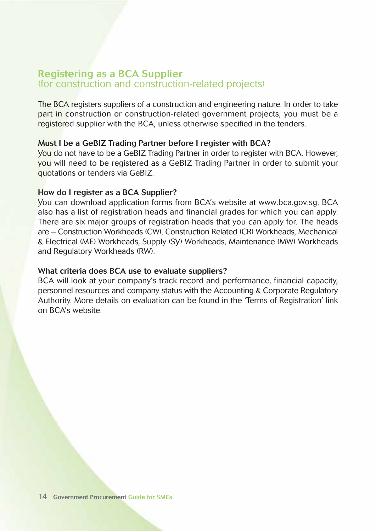#### **Registering as a BCA Supplier** (for construction and construction-related projects)

The BCA registers suppliers of a construction and engineering nature. In order to take part in construction or construction-related government projects, you must be a registered supplier with the BCA, unless otherwise specified in the tenders.

#### **Must I be a GeBIZ Trading Partner before I register with BCA?**

You do not have to be a GeBIZ Trading Partner in order to register with BCA. However, you will need to be registered as a GeBIZ Trading Partner in order to submit your quotations or tenders via GeBIZ.

#### **How do I register as a BCA Supplier?**

You can download application forms from BCA's website at www.bca.gov.sg. BCA also has a list of registration heads and financial grades for which you can apply. There are six major groups of registration heads that you can apply for. The heads are – Construction Workheads (CW), Construction Related (CR) Workheads, Mechanical & Electrical (ME) Workheads, Supply (SY) Workheads, Maintenance (MW) Workheads and Regulatory Workheads (RW).

#### **What criteria does BCA use to evaluate suppliers?**

BCA will look at your company's track record and performance, financial capacity, personnel resources and company status with the Accounting & Corporate Regulatory Authority. More details on evaluation can be found in the 'Terms of Registration' link on BCA's website.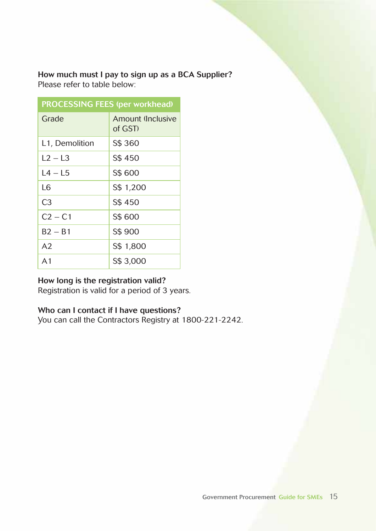**How much must I pay to sign up as a BCA Supplier?** Please refer to table below:

| <b>PROCESSING FEES (per workhead)</b> |                              |  |
|---------------------------------------|------------------------------|--|
| Grade                                 | Amount (Inclusive<br>of GST) |  |
| L1, Demolition                        | S\$ 360                      |  |
| $L2 - L3$                             | S\$450                       |  |
| L4 – L5                               | S\$ 600                      |  |
| 16                                    | S\$ 1,200                    |  |
| C <sub>3</sub>                        | S\$450                       |  |
| $C2 - C1$                             | S\$ 600                      |  |
| $B2 - B1$                             | S\$ 900                      |  |
| A <sub>2</sub>                        | S\$ 1,800                    |  |
| $\Delta$ 1                            | S\$ 3,000                    |  |

#### **How long is the registration valid?**

Registration is valid for a period of 3 years.

#### **Who can I contact if I have questions?**

You can call the Contractors Registry at 1800-221-2242.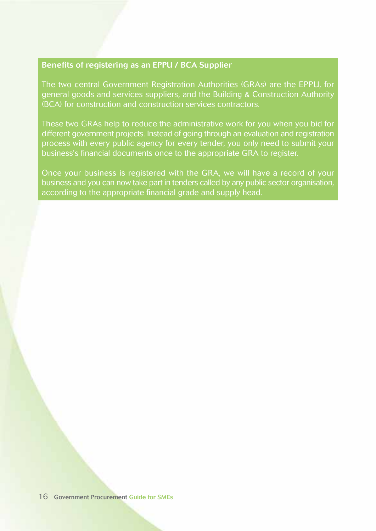### **Benefits of registering as an EPPU / BCA Supplier**

The two central Government Registration Authorities (GRAs) are the EPPU, for general goods and services suppliers, and the Building & Construction Authority (BCA) for construction and construction services contractors.

different government projects. Instead of going through an evaluation and registration process with every public agency for every tender, you only need to submit your business's financial documents once to the appropriate GRA to register.

Once your business is registered with the GRA, we will have a record of your business and you can now take part in tenders called by any public sector organisation, according to the appropriate financial grade and supply head.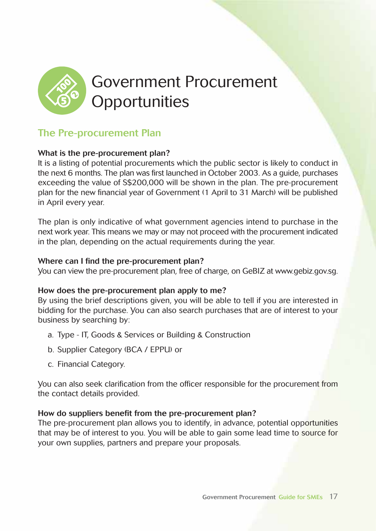

## **The Pre-procurement Plan**

#### **What is the pre-procurement plan?**

It is a listing of potential procurements which the public sector is likely to conduct in the next 6 months. The plan was first launched in October 2003. As a guide, purchases exceeding the value of S\$200,000 will be shown in the plan. The pre-procurement plan for the new financial year of Government (1 April to 31 March) will be published in April every year.

The plan is only indicative of what government agencies intend to purchase in the next work year. This means we may or may not proceed with the procurement indicated in the plan, depending on the actual requirements during the year.

#### **Where can I find the pre-procurement plan?**

You can view the pre-procurement plan, free of charge, on GeBIZ at www.gebiz.gov.sg.

#### **How does the pre-procurement plan apply to me?**

By using the brief descriptions given, you will be able to tell if you are interested in bidding for the purchase. You can also search purchases that are of interest to your business by searching by:

- a. Type IT, Goods & Services or Building & Construction
- b. Supplier Category (BCA / EPPU) or
- c. Financial Category.

You can also seek clarification from the officer responsible for the procurement from the contact details provided.

#### **How do suppliers benefit from the pre-procurement plan?**

The pre-procurement plan allows you to identify, in advance, potential opportunities that may be of interest to you. You will be able to gain some lead time to source for your own supplies, partners and prepare your proposals.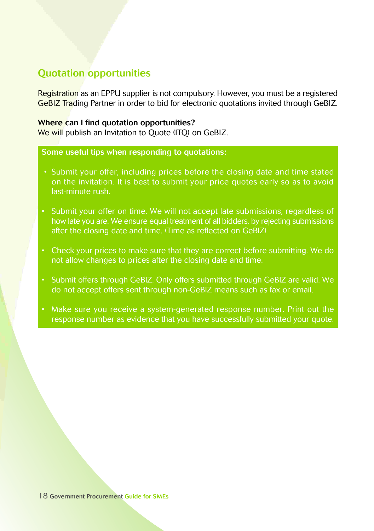## **Quotation opportunities**

Registration as an EPPU supplier is not compulsory. However, you must be a registered GeBIZ Trading Partner in order to bid for electronic quotations invited through GeBIZ.

#### **Where can I find quotation opportunities?**

We will publish an Invitation to Ouote (ITO) on GeBIZ.

#### **Some useful tips when responding to quotations:**

- Submit your offer, including prices before the closing date and time stated on the invitation. It is best to submit your price quotes early so as to avoid last-minute rush.
- Submit your offer on time. We will not accept late submissions, regardless of how late you are. We ensure equal treatment of all bidders, by rejecting submissions after the closing date and time. (Time as reflected on GeBIZ)
- Check your prices to make sure that they are correct before submitting. We do not allow changes to prices after the closing date and time.
- Submit offers through GeBIZ. Only offers submitted through GeBIZ are valid. We do not accept offers sent through non-GeBIZ means such as fax or email.
- Make sure you receive a system-generated response number. Print out the response number as evidence that you have successfully submitted your quote.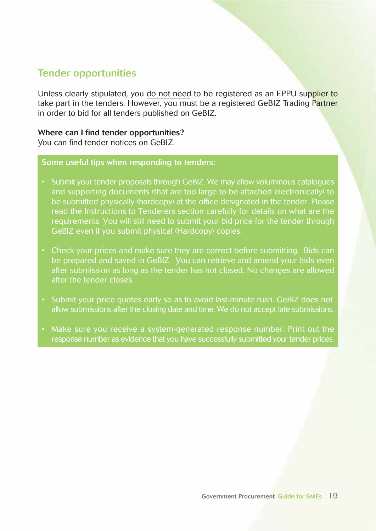## **Tender opportunities**

Unless clearly stipulated, you do not need to be registered as an EPPU supplier to take part in the tenders. However, you must be a registered GeBIZ Trading Partner in order to bid for all tenders published on GeBIZ.

#### **Where can I find tender opportunities?**

You can find tender notices on GeBIZ.

#### **Some useful tips when responding to tenders:**

- Submit your tender proposals through GeBIZ. We may allow voluminous catalogues and supporting documents (that are too large to be attached electronically) to be submitted physically (hardcopy) at the office designated in the tender. Please read the Instructions to Tenderers section carefully for details on what are the requirements. You will still need to submit your bid price for the tender through GeBIZ even if you submit physical (Hardcopy) copies.
- Check your prices and make sure they are correct before submitting. Bids can be prepared and saved in GeBIZ. You can retrieve and amend your bids even after submission as long as the tender has not closed. No changes are allowed after the tender closes.
- Submit your price quotes early so as to avoid last-minute rush. GeBIZ does not allow submissions after the closing date and time. We do not accept late submissions.
- response number as evidence that you have successfully submitted your tender prices.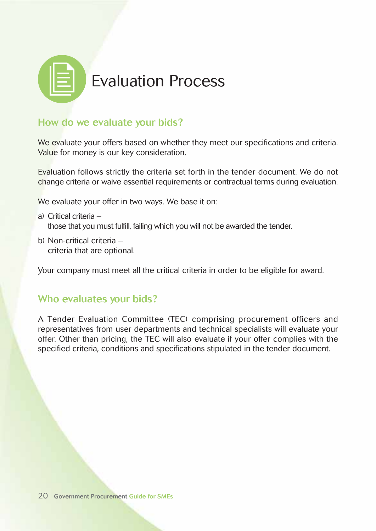

## **How do we evaluate your bids?**

We evaluate your offers based on whether they meet our specifications and criteria. Value for money is our key consideration.

Evaluation follows strictly the criteria set forth in the tender document. We do not change criteria or waive essential requirements or contractual terms during evaluation.

We evaluate your offer in two ways. We base it on:

- a) Critical criteria those that you must fulfill, failing which you will not be awarded the tender.
- b) Non-critical criteria criteria that are optional.

Your company must meet all the critical criteria in order to be eligible for award.

### **Who evaluates your bids?**

A Tender Evaluation Committee (TEC) comprising procurement officers and representatives from user departments and technical specialists will evaluate your offer. Other than pricing, the TEC will also evaluate if your offer complies with the specified criteria, conditions and specifications stipulated in the tender document.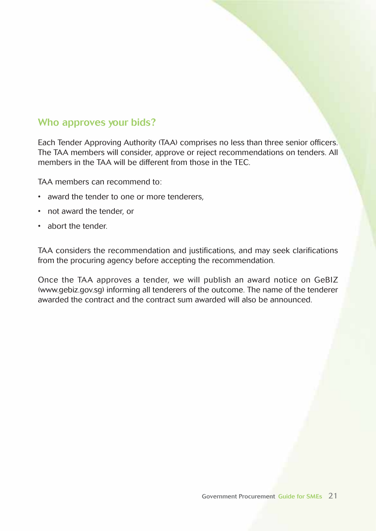## **Who approves your bids?**

Each Tender Approving Authority (TAA) comprises no less than three senior officers. The TAA members will consider, approve or reject recommendations on tenders. All members in the TAA will be different from those in the TEC.

TAA members can recommend to:

- award the tender to one or more tenderers,
- not award the tender, or
- abort the tender.

TAA considers the recommendation and justifications, and may seek clarifications from the procuring agency before accepting the recommendation.

Once the TAA approves a tender, we will publish an award notice on GeBIZ (www.gebiz.gov.sg) informing all tenderers of the outcome. The name of the tenderer awarded the contract and the contract sum awarded will also be announced.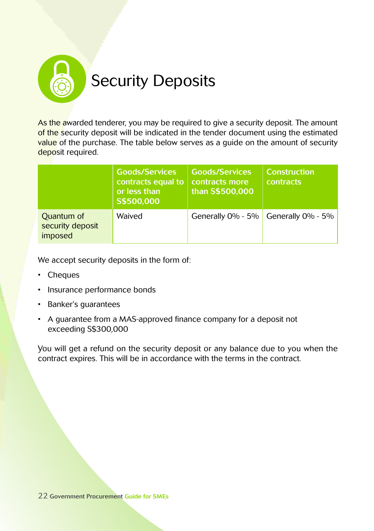

As the awarded tenderer, you may be required to give a security deposit. The amount of the security deposit will be indicated in the tender document using the estimated value of the purchase. The table below serves as a quide on the amount of security deposit required.

|                                           | <b>Goods/Services</b><br>contracts equal to<br>or less than<br>S\$500,000 | <b>Goods/Services</b><br>contracts more<br>than S\$500,000 | <b>Construction</b><br><b>contracts</b> |
|-------------------------------------------|---------------------------------------------------------------------------|------------------------------------------------------------|-----------------------------------------|
| Quantum of<br>security deposit<br>imposed | Waived                                                                    | Generally $0\%$ - 5%                                       | Generally $0\%$ - 5%                    |

We accept security deposits in the form of:

- Cheques
- Insurance performance bonds
- Banker's guarantees
- A guarantee from a MAS-approved finance company for a deposit not exceeding S\$300,000

You will get a refund on the security deposit or any balance due to you when the contract expires. This will be in accordance with the terms in the contract.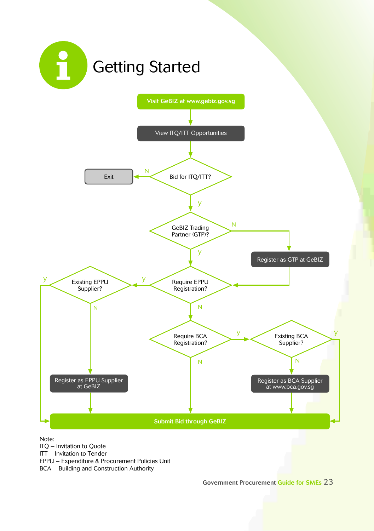

Note:

ITQ – Invitation to Quote

ITT – Invitation to Tender

EPPU – Expenditure & Procurement Policies Unit

BCA – Building and Construction Authority

**Government Procurement Guide for SMEs** 23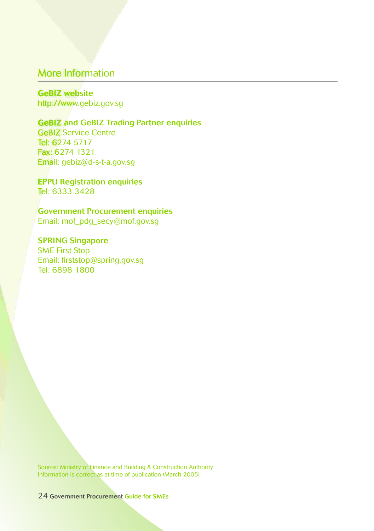## More Information

**GeBIZ website** http://www.gebiz.gov.sg

#### **GeBIZ and GeBIZ Trading Partner enquiries**

GeBIZ Service Centre Tel: 6274 5717 Fax: 6274 1321 Email: gebiz@d-s-t-a.gov.sg

**EPPU Registration enquiries** Tel: 6333 3428

**Government Procurement enquiries** Email: mof\_pdg\_secy@mof.gov.sg

**SPRING Singapore** SME First Stop Email: firststop@spring.gov.sg Tel: 6898 1800

Source: Ministry of Finance and Building & Construction Authority Information is correct as at time of publication (March 2005)